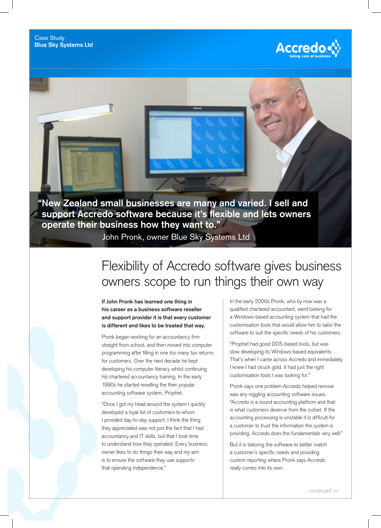



**support Accredo software because it's flexible and lets owners operate their business how they want to."**

John Pronk, owner Blue Sky Systems Ltd

## Flexibility of Accredo software gives business owners scope to run things their own way

**If John Pronk has learned one thing in his career as a business software reseller and support provider it is that every customer is different and likes to be treated that way.**

Pronk began working for an accountancy firm straight from school, and then moved into computer programming after filling in one too many tax returns for customers. Over the next decade he kept developing his computer literacy whilst continuing his chartered accountancy training. In the early 1990s he started reselling the then popular accounting software system, Prophet.

"Once I got my head around the system I quickly developed a loyal list of customers to whom I provided day-to-day support. I think the thing they appreciated was not just the fact that I had accountancy and IT skills, but that I took time to understand how they operated. Every business owner likes to do things their way and my aim is to ensure the software they use supports that operating independence."

In the early 2000s Pronk, who by now was a qualified chartered accountant, went looking for a Windows-based accounting system that had the customisation tools that would allow him to tailor the software to suit the specific needs of his customers.

"Prophet had good DOS-based tools, but was slow developing its Windows-based equivalents. That's when I came across Accredo and immediately I knew I had struck gold. It had just the right customisation tools I was looking for."

Pronk says one problem Accredo helped remove was any niggling accounting software issues. "Accredo is a sound accounting platform and that is what customers deserve from the outset. If the accounting processing is unstable it is difficult for a customer to trust the information the system is providing. Accredo does the fundamentals very well."

But it is tailoring the software to better match a customer's specific needs and providing custom reporting where Pronk says Accredo really comes into its own.

…continued >>